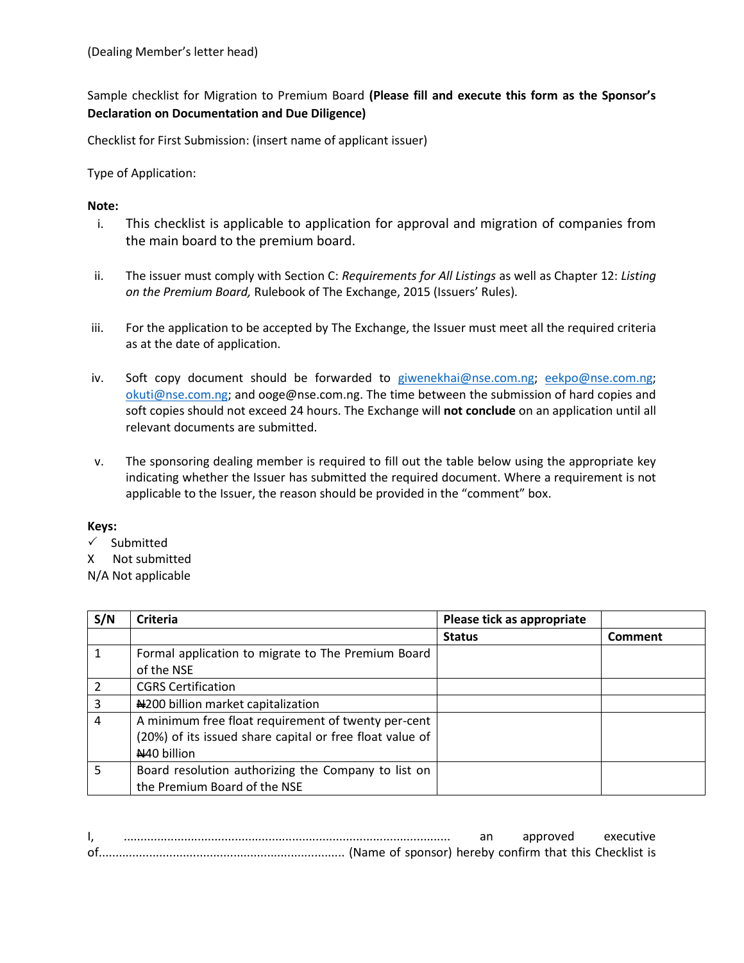Sample checklist for Migration to Premium Board **(Please fill and execute this form as the Sponsor's Declaration on Documentation and Due Diligence)**

Checklist for First Submission: (insert name of applicant issuer)

Type of Application:

## **Note:**

- i. This checklist is applicable to application for approval and migration of companies from the main board to the premium board.
- ii. The issuer must comply with Section C: *Requirements for All Listings* as well as Chapter 12: *Listing on the Premium Board,* Rulebook of The Exchange, 2015 (Issuers' Rules)*.*
- iii. For the application to be accepted by The Exchange, the Issuer must meet all the required criteria as at the date of application.
- iv. Soft copy document should be forwarded to [giwenekhai@nse.com.ng;](mailto:giwenekhai@nse.com.ng) [eekpo@nse.com.ng;](mailto:eekpo@nse.com.ng) [okuti@nse.com.ng;](mailto:okuti@nse.com.ng) and ooge@nse.com.ng. The time between the submission of hard copies and soft copies should not exceed 24 hours. The Exchange will **not conclude** on an application until all relevant documents are submitted.
- v. The sponsoring dealing member is required to fill out the table below using the appropriate key indicating whether the Issuer has submitted the required document. Where a requirement is not applicable to the Issuer, the reason should be provided in the "comment" box.

## **Keys:**

- $\checkmark$  Submitted
- X Not submitted

N/A Not applicable

| S/N | <b>Criteria</b>                                          | Please tick as appropriate |         |
|-----|----------------------------------------------------------|----------------------------|---------|
|     |                                                          | <b>Status</b>              | Comment |
|     | Formal application to migrate to The Premium Board       |                            |         |
|     | of the NSE                                               |                            |         |
|     | <b>CGRS Certification</b>                                |                            |         |
| 3   | N200 billion market capitalization                       |                            |         |
| 4   | A minimum free float requirement of twenty per-cent      |                            |         |
|     | (20%) of its issued share capital or free float value of |                            |         |
|     | N40 billion                                              |                            |         |
| 5   | Board resolution authorizing the Company to list on      |                            |         |
|     | the Premium Board of the NSE                             |                            |         |

|  |  |  | approved | executive |
|--|--|--|----------|-----------|
|  |  |  |          |           |